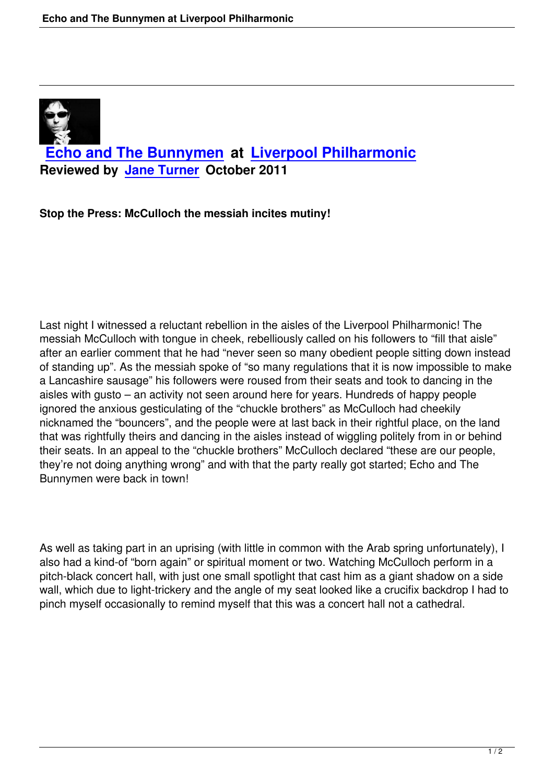

**Stop the Press: [McCulloch the](people.html#jane-turner) messiah incites mutiny!**

Last night I witnessed a reluctant rebellion in the aisles of the Liverpool Philharmonic! The messiah McCulloch with tongue in cheek, rebelliously called on his followers to "fill that aisle" after an earlier comment that he had "never seen so many obedient people sitting down instead of standing up". As the messiah spoke of "so many regulations that it is now impossible to make a Lancashire sausage" his followers were roused from their seats and took to dancing in the aisles with gusto – an activity not seen around here for years. Hundreds of happy people ignored the anxious gesticulating of the "chuckle brothers" as McCulloch had cheekily nicknamed the "bouncers", and the people were at last back in their rightful place, on the land that was rightfully theirs and dancing in the aisles instead of wiggling politely from in or behind their seats. In an appeal to the "chuckle brothers" McCulloch declared "these are our people, they're not doing anything wrong" and with that the party really got started; Echo and The Bunnymen were back in town!

As well as taking part in an uprising (with little in common with the Arab spring unfortunately), I also had a kind-of "born again" or spiritual moment or two. Watching McCulloch perform in a pitch-black concert hall, with just one small spotlight that cast him as a giant shadow on a side wall, which due to light-trickery and the angle of my seat looked like a crucifix backdrop I had to pinch myself occasionally to remind myself that this was a concert hall not a cathedral.